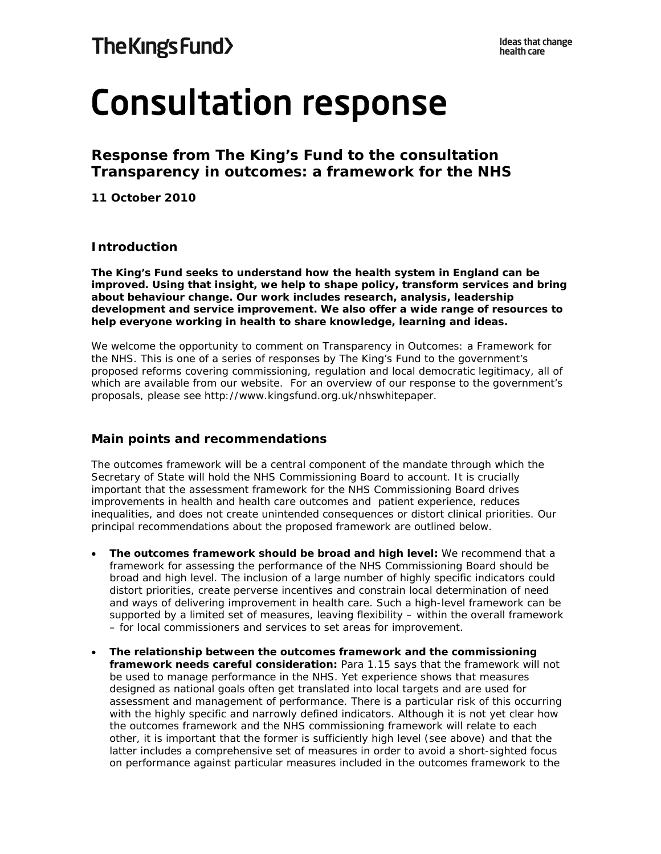# **Consultation response**

**Response from The King's Fund to the consultation**  *Transparency in outcomes: a framework for the NHS*

**11 October 2010** 

# **Introduction**

**The King's Fund seeks to understand how the health system in England can be improved. Using that insight, we help to shape policy, transform services and bring about behaviour change. Our work includes research, analysis, leadership development and service improvement. We also offer a wide range of resources to help everyone working in health to share knowledge, learning and ideas.** 

We welcome the opportunity to comment on *Transparency in Outcomes: a Framework for the NHS*. This is one of a series of responses by The King's Fund to the government's proposed reforms covering commissioning, regulation and local democratic legitimacy, all of which are available from our website. For an overview of our response to the government's proposals, please see *http://www.*kingsfund.org.uk/nhswhitepaper.

# **Main points and recommendations**

The outcomes framework will be a central component of the mandate through which the Secretary of State will hold the NHS Commissioning Board to account. It is crucially important that the assessment framework for the NHS Commissioning Board drives improvements in health and health care outcomes and patient experience, reduces inequalities, and does not create unintended consequences or distort clinical priorities. Our principal recommendations about the proposed framework are outlined below.

- **The outcomes framework should be broad and high level:** We recommend that a framework for assessing the performance of the NHS Commissioning Board should be broad and high level. The inclusion of a large number of highly specific indicators could distort priorities, create perverse incentives and constrain local determination of need and ways of delivering improvement in health care. Such a high-level framework can be supported by a limited set of measures, leaving flexibility – within the overall framework – for local commissioners and services to set areas for improvement.
- **The relationship between the outcomes framework and the commissioning framework needs careful consideration:** Para 1.15 says that the framework will not be used to manage performance in the NHS. Yet experience shows that measures designed as national goals often get translated into local targets and are used for assessment and management of performance. There is a particular risk of this occurring with the highly specific and narrowly defined indicators. Although it is not yet clear how the outcomes framework and the NHS commissioning framework will relate to each other, it is important that the former is sufficiently high level (see above) and that the latter includes a comprehensive set of measures in order to avoid a short-sighted focus on performance against particular measures included in the outcomes framework to the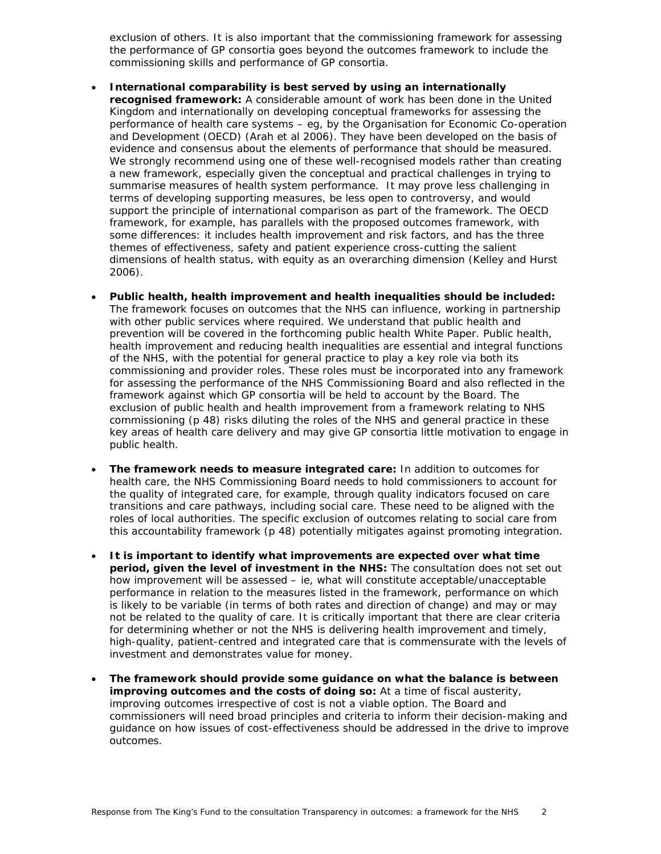exclusion of others. It is also important that the commissioning framework for assessing the performance of GP consortia goes beyond the outcomes framework to include the commissioning skills and performance of GP consortia.

- **International comparability is best served by using an internationally recognised framework:** A considerable amount of work has been done in the United Kingdom and internationally on developing conceptual frameworks for assessing the performance of health care systems – eg, by the Organisation for Economic Co-operation and Development (OECD) (Arah *et al* 2006). They have been developed on the basis of evidence and consensus about the elements of performance that should be measured. We strongly recommend using one of these well-recognised models rather than creating a new framework, especially given the conceptual and practical challenges in trying to summarise measures of health system performance. It may prove less challenging in terms of developing supporting measures, be less open to controversy, and would support the principle of international comparison as part of the framework. The OECD framework, for example, has parallels with the proposed outcomes framework, with some differences: it includes health improvement and risk factors, and has the three themes of effectiveness, safety and patient experience cross-cutting the salient dimensions of health status, with equity as an overarching dimension (Kelley and Hurst 2006).
- **Public health, health improvement and health inequalities should be included:** The framework focuses on outcomes that the NHS can influence, working in partnership with other public services where required. We understand that public health and prevention will be covered in the forthcoming public health White Paper. Public health, health improvement and reducing health inequalities are essential and integral functions of the NHS, with the potential for general practice to play a key role via both its commissioning and provider roles. These roles must be incorporated into any framework for assessing the performance of the NHS Commissioning Board and also reflected in the framework against which GP consortia will be held to account by the Board. The exclusion of public health and health improvement from a framework relating to NHS commissioning (p 48) risks diluting the roles of the NHS and general practice in these key areas of health care delivery and may give GP consortia little motivation to engage in public health.
- **The framework needs to measure integrated care:** In addition to outcomes for health care, the NHS Commissioning Board needs to hold commissioners to account for the quality of integrated care, for example, through quality indicators focused on care transitions and care pathways, including social care. These need to be aligned with the roles of local authorities. The specific exclusion of outcomes relating to social care from this accountability framework (p 48) potentially mitigates against promoting integration.
- **It is important to identify what improvements are expected over what time period, given the level of investment in the NHS:** The consultation does not set out how improvement will be assessed – ie, what will constitute acceptable/unacceptable performance in relation to the measures listed in the framework, performance on which is likely to be variable (in terms of both rates and direction of change) and may or may not be related to the quality of care. It is critically important that there are clear criteria for determining whether or not the NHS is delivering health improvement and timely, high-quality, patient-centred and integrated care that is commensurate with the levels of investment and demonstrates value for money.
- **The framework should provide some guidance on what the balance is between improving outcomes and the costs of doing so:** At a time of fiscal austerity, improving outcomes irrespective of cost is not a viable option. The Board and commissioners will need broad principles and criteria to inform their decision-making and guidance on how issues of cost-effectiveness should be addressed in the drive to improve outcomes.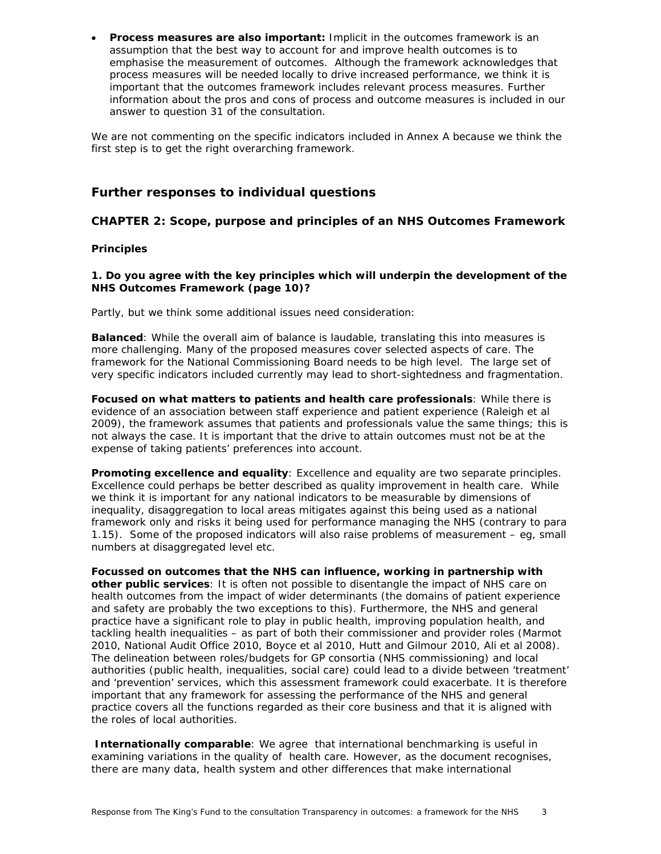**Process measures are also important:** Implicit in the outcomes framework is an assumption that the best way to account for and improve health outcomes is to emphasise the measurement of outcomes. Although the framework acknowledges that process measures will be needed locally to drive increased performance, we think it is important that the outcomes framework includes relevant process measures. Further information about the pros and cons of process and outcome measures is included in our answer to question 31 of the consultation.

We are not commenting on the specific indicators included in Annex A because we think the first step is to get the right overarching framework.

# **Further responses to individual questions**

# **CHAPTER 2: Scope, purpose and principles of an NHS Outcomes Framework**

#### *Principles*

# **1. Do you agree with the key principles which will underpin the development of the NHS Outcomes Framework (page 10)?**

Partly, but we think some additional issues need consideration:

**Balanced**: While the overall aim of balance is laudable, translating this into measures is more challenging. Many of the proposed measures cover selected aspects of care. The framework for the National Commissioning Board needs to be high level. The large set of very specific indicators included currently may lead to short-sightedness and fragmentation.

**Focused on what matters to patients and health care professionals**: While there is evidence of an association between staff experience and patient experience (Raleigh *et al* 2009), the framework assumes that patients and professionals value the same things; this is not always the case. It is important that the drive to attain outcomes must not be at the expense of taking patients' preferences into account.

**Promoting excellence and equality**: Excellence and equality are two separate principles. Excellence could perhaps be better described as quality improvement in health care. While we think it is important for any national indicators to be measurable by dimensions of inequality, disaggregation to local areas mitigates against this being used as a national framework only and risks it being used for performance managing the NHS (contrary to para 1.15). Some of the proposed indicators will also raise problems of measurement – eg, small numbers at disaggregated level etc.

**Focussed on outcomes that the NHS can influence, working in partnership with other public services**: It is often not possible to disentangle the impact of NHS care on health outcomes from the impact of wider determinants (the domains of patient experience and safety are probably the two exceptions to this). Furthermore, the NHS and general practice have a significant role to play in public health, improving population health, and tackling health inequalities – as part of both their commissioner and provider roles (Marmot 2010, National Audit Office 2010, Boyce *et al* 2010, Hutt and Gilmour 2010, Ali *et al* 2008). The delineation between roles/budgets for GP consortia (NHS commissioning) and local authorities (public health, inequalities, social care) could lead to a divide between 'treatment' and 'prevention' services, which this assessment framework could exacerbate. It is therefore important that any framework for assessing the performance of the NHS and general practice covers all the functions regarded as their core business and that it is aligned with the roles of local authorities.

**Internationally comparable**: We agree that international benchmarking is useful in examining variations in the quality of health care. However, as the document recognises, there are many data, health system and other differences that make international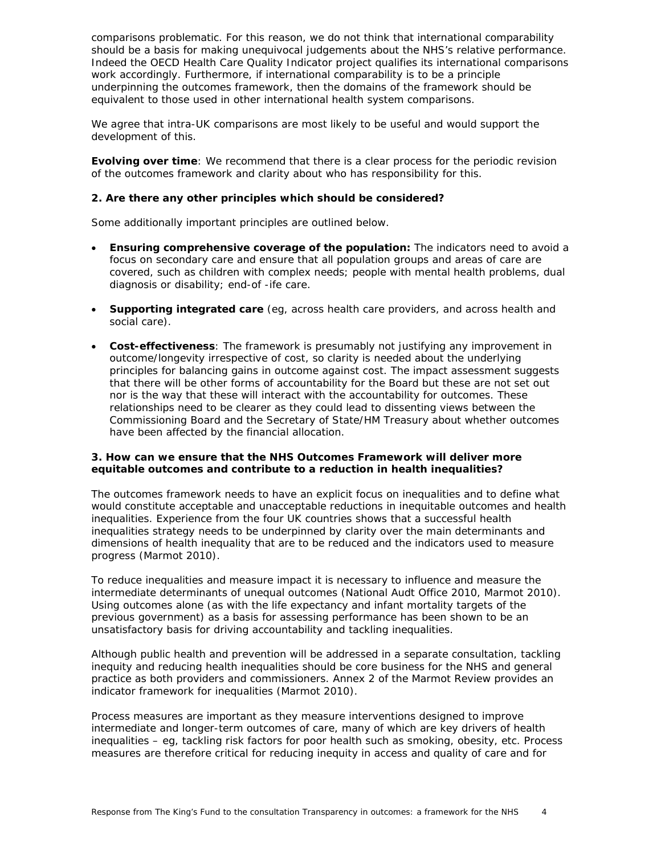comparisons problematic. For this reason, we do not think that international comparability should be a basis for making unequivocal judgements about the NHS's relative performance. Indeed the OECD Health Care Quality Indicator project qualifies its international comparisons work accordingly. Furthermore, if international comparability is to be a principle underpinning the outcomes framework, then the domains of the framework should be equivalent to those used in other international health system comparisons.

We agree that intra-UK comparisons are most likely to be useful and would support the development of this.

**Evolving over time**: We recommend that there is a clear process for the periodic revision of the outcomes framework and clarity about who has responsibility for this.

### **2. Are there any other principles which should be considered?**

Some additionally important principles are outlined below.

- **Ensuring comprehensive coverage of the population:** The indicators need to avoid a focus on secondary care and ensure that all population groups and areas of care are covered, such as children with complex needs; people with mental health problems, dual diagnosis or disability; end-of -ife care.
- **Supporting integrated care** (eg, across health care providers, and across health and social care).
- **Cost-effectiveness**: The framework is presumably not justifying any improvement in outcome/longevity irrespective of cost, so clarity is needed about the underlying principles for balancing gains in outcome against cost. The impact assessment suggests that there will be other forms of accountability for the Board but these are not set out nor is the way that these will interact with the accountability for outcomes. These relationships need to be clearer as they could lead to dissenting views between the Commissioning Board and the Secretary of State/HM Treasury about whether outcomes have been affected by the financial allocation.

#### **3. How can we ensure that the NHS Outcomes Framework will deliver more equitable outcomes and contribute to a reduction in health inequalities?**

The outcomes framework needs to have an explicit focus on inequalities and to define what would constitute acceptable and unacceptable reductions in inequitable outcomes and health inequalities. Experience from the four UK countries shows that a successful health inequalities strategy needs to be underpinned by clarity over the main determinants and dimensions of health inequality that are to be reduced and the indicators used to measure progress (Marmot 2010).

To reduce inequalities and measure impact it is necessary to influence and measure the intermediate determinants of unequal outcomes (National Audt Office 2010, Marmot 2010). Using outcomes alone (as with the life expectancy and infant mortality targets of the previous government) as a basis for assessing performance has been shown to be an unsatisfactory basis for driving accountability and tackling inequalities.

Although public health and prevention will be addressed in a separate consultation, tackling inequity and reducing health inequalities should be core business for the NHS and general practice as both providers and commissioners. Annex 2 of the Marmot Review provides an indicator framework for inequalities (Marmot 2010).

Process measures are important as they measure interventions designed to improve intermediate and longer-term outcomes of care, many of which are key drivers of health inequalities – eg, tackling risk factors for poor health such as smoking, obesity, etc. Process measures are therefore critical for reducing inequity in access and quality of care and for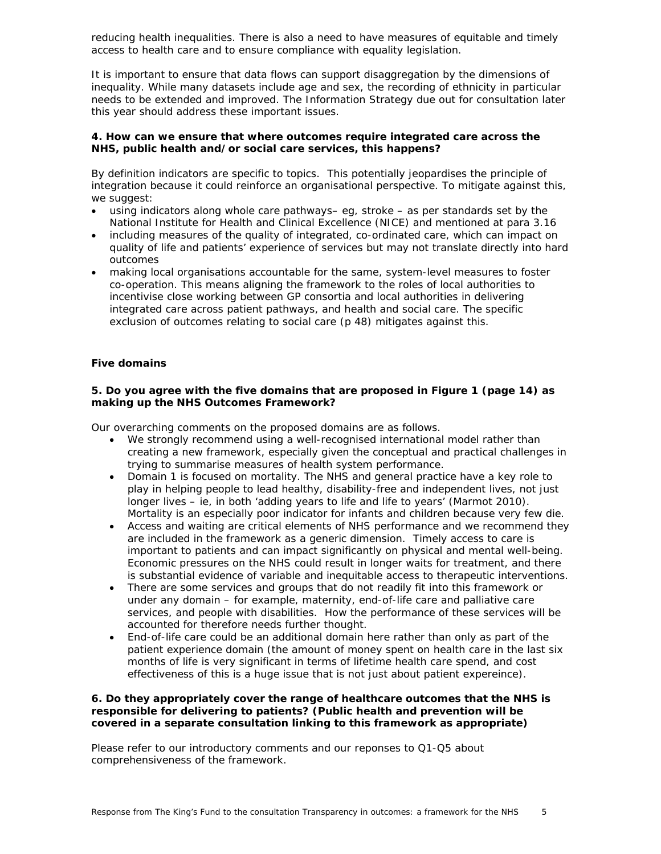reducing health inequalities. There is also a need to have measures of equitable and timely access to health care and to ensure compliance with equality legislation.

It is important to ensure that data flows can support disaggregation by the dimensions of inequality. While many datasets include age and sex, the recording of ethnicity in particular needs to be extended and improved. The Information Strategy due out for consultation later this year should address these important issues.

# **4. How can we ensure that where outcomes require integrated care across the NHS, public health and/or social care services, this happens?**

By definition indicators are specific to topics. This potentially jeopardises the principle of integration because it could reinforce an organisational perspective. To mitigate against this, we suggest:

- using indicators along whole care pathways– eg, stroke as per standards set by the National Institute for Health and Clinical Excellence (NICE) and mentioned at para 3.16
- including measures of the quality of integrated, co-ordinated care, which can impact on quality of life and patients' experience of services but may not translate directly into hard outcomes
- making local organisations accountable for the same, system-level measures to foster co-operation. This means aligning the framework to the roles of local authorities to incentivise close working between GP consortia and local authorities in delivering integrated care across patient pathways, and health and social care. The specific exclusion of outcomes relating to social care (p 48) mitigates against this.

# *Five domains*

# **5. Do you agree with the five domains that are proposed in Figure 1 (page 14) as making up the NHS Outcomes Framework?**

Our overarching comments on the proposed domains are as follows.

- We strongly recommend using a well-recognised international model rather than creating a new framework, especially given the conceptual and practical challenges in trying to summarise measures of health system performance.
- Domain 1 is focused on mortality. The NHS and general practice have a key role to play in helping people to lead healthy, disability-free and independent lives, not just longer lives – ie, in both 'adding years to life and life to years' (Marmot 2010). Mortality is an especially poor indicator for infants and children because very few die.
- Access and waiting are critical elements of NHS performance and we recommend they are included in the framework as a generic dimension. Timely access to care is important to patients and can impact significantly on physical and mental well-being. Economic pressures on the NHS could result in longer waits for treatment, and there is substantial evidence of variable and inequitable access to therapeutic interventions.
- There are some services and groups that do not readily fit into this framework or under any domain – for example, maternity, end-of-life care and palliative care services, and people with disabilities. How the performance of these services will be accounted for therefore needs further thought.
- End-of-life care could be an additional domain here rather than only as part of the patient experience domain (the amount of money spent on health care in the last six months of life is very significant in terms of lifetime health care spend, and cost effectiveness of this is a huge issue that is not just about patient expereince).

# **6. Do they appropriately cover the range of healthcare outcomes that the NHS is responsible for delivering to patients? (Public health and prevention will be covered in a separate consultation linking to this framework as appropriate)**

Please refer to our introductory comments and our reponses to Q1-Q5 about comprehensiveness of the framework.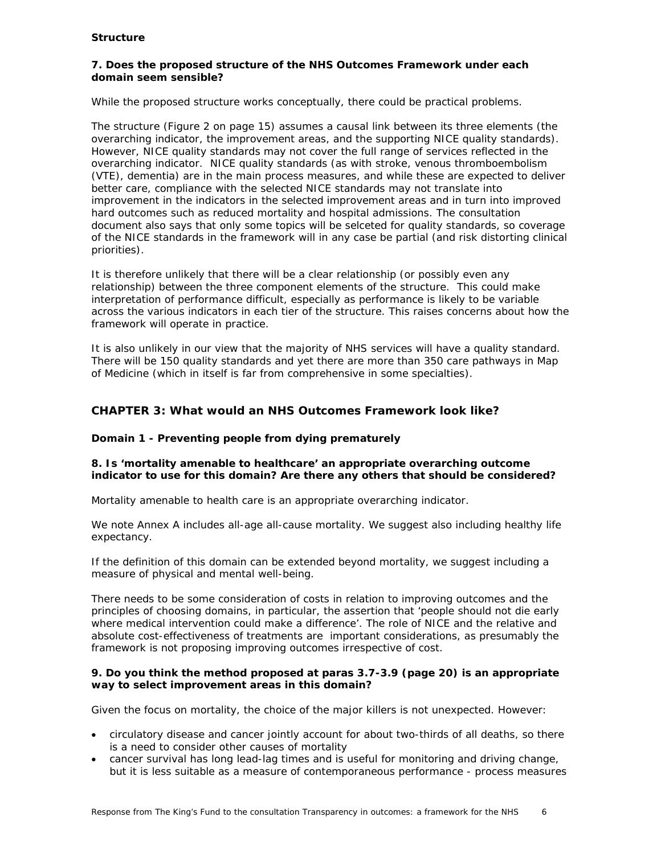# *Structure*

# **7. Does the proposed structure of the NHS Outcomes Framework under each domain seem sensible?**

While the proposed structure works conceptually, there could be practical problems.

The structure (Figure 2 on page 15) assumes a causal link between its three elements (the overarching indicator, the improvement areas, and the supporting NICE quality standards). However, NICE quality standards may not cover the full range of services reflected in the overarching indicator. NICE quality standards (as with stroke, venous thromboembolism (VTE), dementia) are in the main process measures, and while these are expected to deliver better care, compliance with the selected NICE standards may not translate into improvement in the indicators in the selected improvement areas and in turn into improved hard outcomes such as reduced mortality and hospital admissions. The consultation document also says that only some topics will be selceted for quality standards, so coverage of the NICE standards in the framework will in any case be partial (and risk distorting clinical priorities).

It is therefore unlikely that there will be a clear relationship (or possibly even any relationship) between the three component elements of the structure. This could make interpretation of performance difficult, especially as performance is likely to be variable across the various indicators in each tier of the structure. This raises concerns about how the framework will operate in practice.

It is also unlikely in our view that the majority of NHS services will have a quality standard. There will be 150 quality standards and yet there are more than 350 care pathways in Map of Medicine (which in itself is far from comprehensive in some specialties).

# **CHAPTER 3: What would an NHS Outcomes Framework look like?**

# **Domain 1 - Preventing people from dying prematurely**

# **8. Is 'mortality amenable to healthcare' an appropriate overarching outcome indicator to use for this domain? Are there any others that should be considered?**

Mortality amenable to health care is an appropriate overarching indicator.

We note Annex A includes all-age all-cause mortality. We suggest also including healthy life expectancy.

If the definition of this domain can be extended beyond mortality, we suggest including a measure of physical and mental well-being.

There needs to be some consideration of costs in relation to improving outcomes and the principles of choosing domains, in particular, the assertion that 'people should not die early where medical intervention could make a difference'. The role of NICE and the relative and absolute cost-effectiveness of treatments are important considerations, as presumably the framework is not proposing improving outcomes irrespective of cost.

# **9. Do you think the method proposed at paras 3.7-3.9 (page 20) is an appropriate way to select improvement areas in this domain?**

Given the focus on mortality, the choice of the major killers is not unexpected. However:

- circulatory disease and cancer jointly account for about two-thirds of all deaths, so there is a need to consider other causes of mortality
- cancer survival has long lead-lag times and is useful for monitoring and driving change, but it is less suitable as a measure of contemporaneous performance - process measures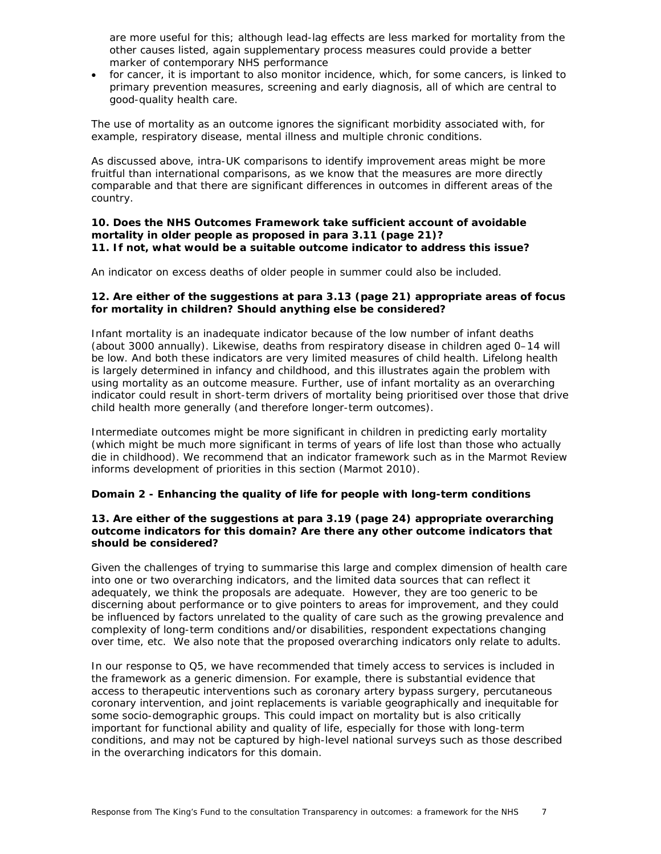are more useful for this; although lead-lag effects are less marked for mortality from the other causes listed, again supplementary process measures could provide a better marker of contemporary NHS performance

• for cancer, it is important to also monitor incidence, which, for some cancers, is linked to primary prevention measures, screening and early diagnosis, all of which are central to good-quality health care.

The use of mortality as an outcome ignores the significant morbidity associated with, for example, respiratory disease, mental illness and multiple chronic conditions.

As discussed above, intra-UK comparisons to identify improvement areas might be more fruitful than international comparisons, as we know that the measures are more directly comparable and that there are significant differences in outcomes in different areas of the country.

#### **10. Does the NHS Outcomes Framework take sufficient account of avoidable mortality in older people as proposed in para 3.11 (page 21)? 11. If not, what would be a suitable outcome indicator to address this issue?**

An indicator on excess deaths of older people in summer could also be included.

# **12. Are either of the suggestions at para 3.13 (page 21) appropriate areas of focus for mortality in children? Should anything else be considered?**

Infant mortality is an inadequate indicator because of the low number of infant deaths (about 3000 annually). Likewise, deaths from respiratory disease in children aged 0–14 will be low. And both these indicators are very limited measures of child health. Lifelong health is largely determined in infancy and childhood, and this illustrates again the problem with using mortality as an outcome measure. Further, use of infant mortality as an overarching indicator could result in short-term drivers of mortality being prioritised over those that drive child health more generally (and therefore longer-term outcomes).

Intermediate outcomes might be more significant in children in predicting early mortality (which might be much more significant in terms of years of life lost than those who actually die in childhood). We recommend that an indicator framework such as in the Marmot Review informs development of priorities in this section (Marmot 2010).

# **Domain 2 - Enhancing the quality of life for people with long-term conditions**

# **13. Are either of the suggestions at para 3.19 (page 24) appropriate overarching outcome indicators for this domain? Are there any other outcome indicators that should be considered?**

Given the challenges of trying to summarise this large and complex dimension of health care into one or two overarching indicators, and the limited data sources that can reflect it adequately, we think the proposals are adequate. However, they are too generic to be discerning about performance or to give pointers to areas for improvement, and they could be influenced by factors unrelated to the quality of care such as the growing prevalence and complexity of long-term conditions and/or disabilities, respondent expectations changing over time, etc. We also note that the proposed overarching indicators only relate to adults.

In our response to Q5, we have recommended that timely access to services is included in the framework as a generic dimension. For example, there is substantial evidence that access to therapeutic interventions such as coronary artery bypass surgery, percutaneous coronary intervention, and joint replacements is variable geographically and inequitable for some socio-demographic groups. This could impact on mortality but is also critically important for functional ability and quality of life, especially for those with long-term conditions, and may not be captured by high-level national surveys such as those described in the overarching indicators for this domain.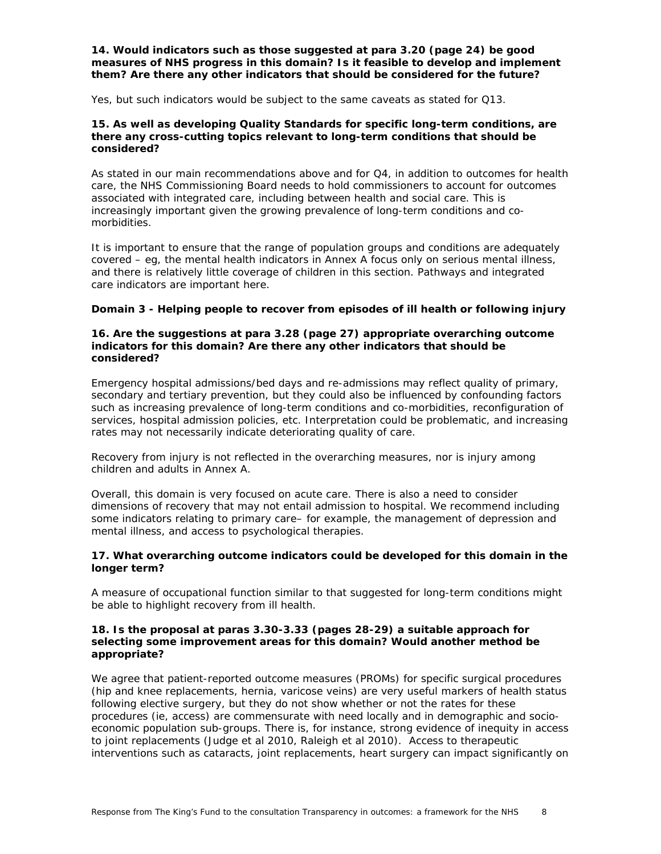#### **14. Would indicators such as those suggested at para 3.20 (page 24) be good measures of NHS progress in this domain? Is it feasible to develop and implement them? Are there any other indicators that should be considered for the future?**

Yes, but such indicators would be subject to the same caveats as stated for Q13.

# **15. As well as developing Quality Standards for specific long-term conditions, are there any cross-cutting topics relevant to long-term conditions that should be considered?**

As stated in our main recommendations above and for Q4, in addition to outcomes for health care, the NHS Commissioning Board needs to hold commissioners to account for outcomes associated with integrated care, including between health and social care. This is increasingly important given the growing prevalence of long-term conditions and comorbidities.

It is important to ensure that the range of population groups and conditions are adequately covered – eg, the mental health indicators in Annex A focus only on serious mental illness, and there is relatively little coverage of children in this section. Pathways and integrated care indicators are important here.

# **Domain 3 - Helping people to recover from episodes of ill health or following injury**

#### **16. Are the suggestions at para 3.28 (page 27) appropriate overarching outcome indicators for this domain? Are there any other indicators that should be considered?**

Emergency hospital admissions/bed days and re-admissions may reflect quality of primary, secondary and tertiary prevention, but they could also be influenced by confounding factors such as increasing prevalence of long-term conditions and co-morbidities, reconfiguration of services, hospital admission policies, etc. Interpretation could be problematic, and increasing rates may not necessarily indicate deteriorating quality of care.

Recovery from injury is not reflected in the overarching measures, nor is injury among children and adults in Annex A.

Overall, this domain is very focused on acute care. There is also a need to consider dimensions of recovery that may not entail admission to hospital. We recommend including some indicators relating to primary care– for example, the management of depression and mental illness, and access to psychological therapies.

# **17. What overarching outcome indicators could be developed for this domain in the longer term?**

A measure of occupational function similar to that suggested for long-term conditions might be able to highlight recovery from ill health.

### **18. Is the proposal at paras 3.30-3.33 (pages 28-29) a suitable approach for selecting some improvement areas for this domain? Would another method be appropriate?**

We agree that patient-reported outcome measures (PROMs) for specific surgical procedures (hip and knee replacements, hernia, varicose veins) are very useful markers of health status following elective surgery, but they do not show whether or not the rates for these procedures (ie, access) are commensurate with need locally and in demographic and socioeconomic population sub-groups. There is, for instance, strong evidence of inequity in access to joint replacements (Judge *et al* 2010, Raleigh *et al* 2010). Access to therapeutic interventions such as cataracts, joint replacements, heart surgery can impact significantly on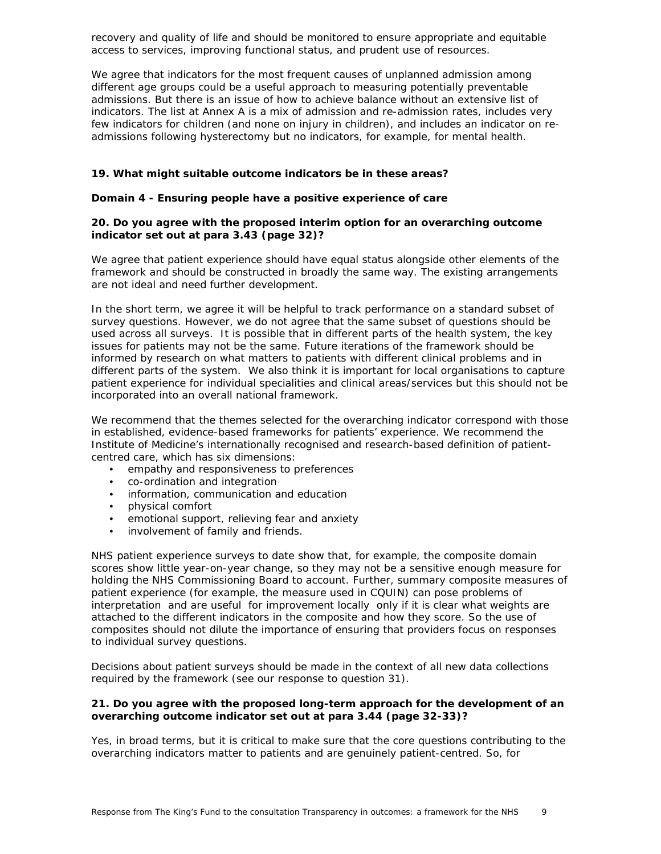recovery and quality of life and should be monitored to ensure appropriate and equitable access to services, improving functional status, and prudent use of resources.

We agree that indicators for the most frequent causes of unplanned admission among different age groups could be a useful approach to measuring potentially preventable admissions. But there is an issue of how to achieve balance without an extensive list of indicators. The list at Annex A is a mix of admission and re-admission rates, includes very few indicators for children (and none on injury in children), and includes an indicator on readmissions following hysterectomy but no indicators, for example, for mental health.

### **19. What might suitable outcome indicators be in these areas?**

#### **Domain 4 - Ensuring people have a positive experience of care**

# **20. Do you agree with the proposed interim option for an overarching outcome indicator set out at para 3.43 (page 32)?**

We agree that patient experience should have equal status alongside other elements of the framework and should be constructed in broadly the same way. The existing arrangements are not ideal and need further development.

In the short term, we agree it will be helpful to track performance on a standard subset of survey questions. However, we do not agree that the same subset of questions should be used across all surveys. It is possible that in different parts of the health system, the key issues for patients may not be the same. Future iterations of the framework should be informed by research on what matters to patients with different clinical problems and in different parts of the system. We also think it is important for local organisations to capture patient experience for individual specialities and clinical areas/services but this should not be incorporated into an overall national framework.

We recommend that the themes selected for the overarching indicator correspond with those in established, evidence-based frameworks for patients' experience. We recommend the Institute of Medicine's internationally recognised and research-based definition of patientcentred care, which has six dimensions:

- empathy and responsiveness to preferences
- co-ordination and integration
- information, communication and education
- physical comfort
- emotional support, relieving fear and anxiety
- involvement of family and friends.

NHS patient experience surveys to date show that, for example, the composite domain scores show little year-on-year change, so they may not be a sensitive enough measure for holding the NHS Commissioning Board to account. Further, summary composite measures of patient experience (for example, the measure used in CQUIN) can pose problems of interpretation and are useful for improvement locally only if it is clear what weights are attached to the different indicators in the composite and how they score. So the use of composites should not dilute the importance of ensuring that providers focus on responses to individual survey questions.

Decisions about patient surveys should be made in the context of all new data collections required by the framework (see our response to question 31).

#### **21. Do you agree with the proposed long-term approach for the development of an overarching outcome indicator set out at para 3.44 (page 32-33)?**

Yes, in broad terms, but it is critical to make sure that the core questions contributing to the overarching indicators matter to patients and are genuinely patient-centred. So, for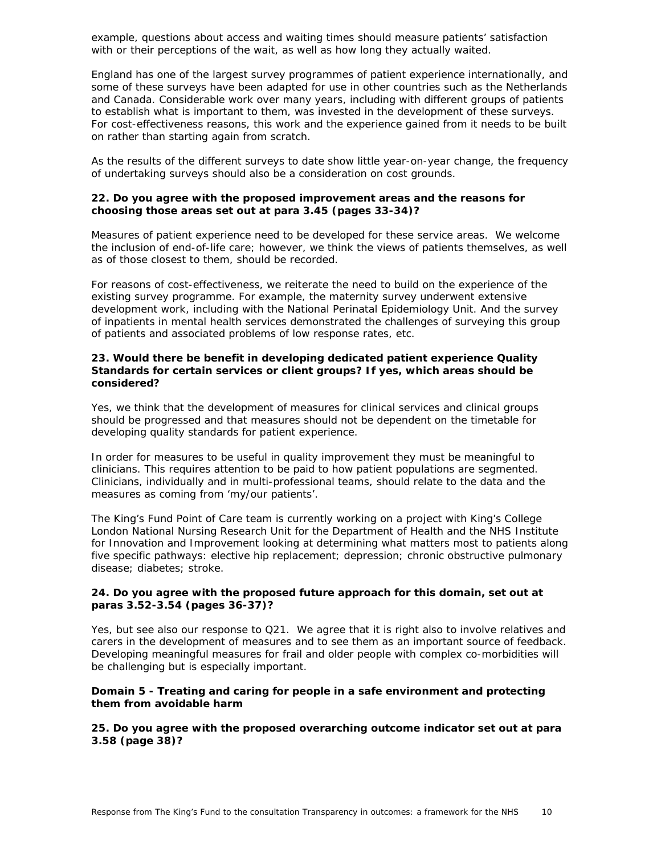example, questions about access and waiting times should measure patients' satisfaction with or their perceptions of the wait, as well as how long they actually waited.

England has one of the largest survey programmes of patient experience internationally, and some of these surveys have been adapted for use in other countries such as the Netherlands and Canada. Considerable work over many years, including with different groups of patients to establish what is important to them, was invested in the development of these surveys. For cost-effectiveness reasons, this work and the experience gained from it needs to be built on rather than starting again from scratch.

As the results of the different surveys to date show little year-on-year change, the frequency of undertaking surveys should also be a consideration on cost grounds.

#### **22. Do you agree with the proposed improvement areas and the reasons for choosing those areas set out at para 3.45 (pages 33-34)?**

Measures of patient experience need to be developed for these service areas. We welcome the inclusion of end-of-life care; however, we think the views of patients themselves, as well as of those closest to them, should be recorded.

For reasons of cost-effectiveness, we reiterate the need to build on the experience of the existing survey programme. For example, the maternity survey underwent extensive development work, including with the National Perinatal Epidemiology Unit. And the survey of inpatients in mental health services demonstrated the challenges of surveying this group of patients and associated problems of low response rates, etc.

#### **23. Would there be benefit in developing dedicated patient experience Quality Standards for certain services or client groups? If yes, which areas should be considered?**

Yes, we think that the development of measures for clinical services and clinical groups should be progressed and that measures should not be dependent on the timetable for developing quality standards for patient experience.

In order for measures to be useful in quality improvement they must be meaningful to clinicians. This requires attention to be paid to how patient populations are segmented. Clinicians, individually and in multi-professional teams, should relate to the data and the measures as coming from 'my/our patients'.

The King's Fund Point of Care team is currently working on a project with King's College London National Nursing Research Unit for the Department of Health and the NHS Institute for Innovation and Improvement looking at determining what matters most to patients along five specific pathways: elective hip replacement; depression; chronic obstructive pulmonary disease; diabetes; stroke.

# **24. Do you agree with the proposed future approach for this domain, set out at paras 3.52-3.54 (pages 36-37)?**

Yes, but see also our response to Q21. We agree that it is right also to involve relatives and carers in the development of measures and to see them as an important source of feedback. Developing meaningful measures for frail and older people with complex co-morbidities will be challenging but is especially important.

# **Domain 5 - Treating and caring for people in a safe environment and protecting them from avoidable harm**

**25. Do you agree with the proposed overarching outcome indicator set out at para 3.58 (page 38)?**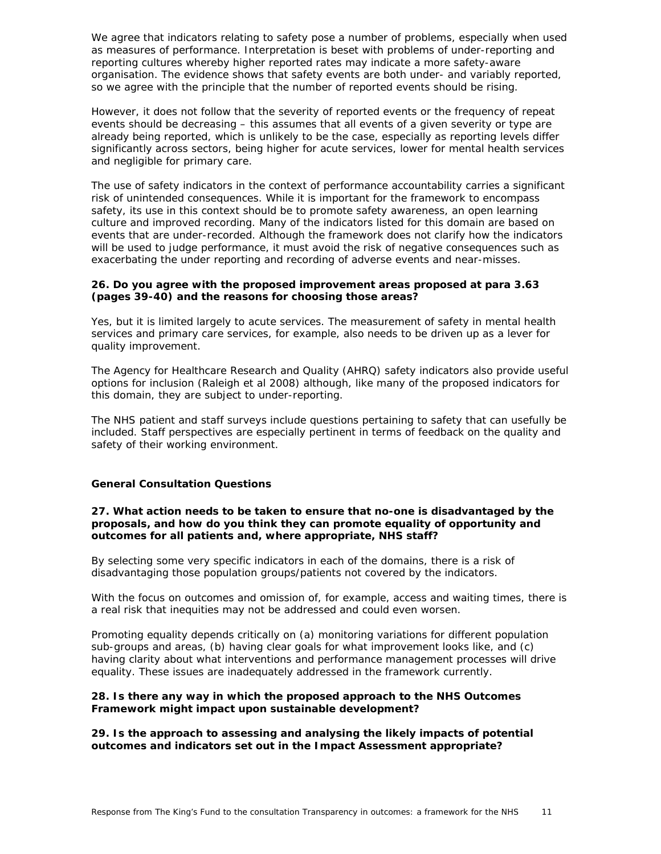We agree that indicators relating to safety pose a number of problems, especially when used as measures of performance. Interpretation is beset with problems of under-reporting and reporting cultures whereby higher reported rates may indicate a more safety-aware organisation. The evidence shows that safety events are both under- and variably reported, so we agree with the principle that the number of reported events should be rising.

However, it does not follow that the severity of reported events or the frequency of repeat events should be decreasing – this assumes that all events of a given severity or type are already being reported, which is unlikely to be the case, especially as reporting levels differ significantly across sectors, being higher for acute services, lower for mental health services and negligible for primary care.

The use of safety indicators in the context of performance accountability carries a significant risk of unintended consequences. While it is important for the framework to encompass safety, its use in this context should be to promote safety awareness, an open learning culture and improved recording. Many of the indicators listed for this domain are based on events that are under-recorded. Although the framework does not clarify how the indicators will be used to judge performance, it must avoid the risk of negative consequences such as exacerbating the under reporting and recording of adverse events and near-misses.

### **26. Do you agree with the proposed improvement areas proposed at para 3.63 (pages 39-40) and the reasons for choosing those areas?**

Yes, but it is limited largely to acute services. The measurement of safety in mental health services and primary care services, for example, also needs to be driven up as a lever for quality improvement.

The Agency for Healthcare Research and Quality (AHRQ) safety indicators also provide useful options for inclusion (Raleigh *et al* 2008) although, like many of the proposed indicators for this domain, they are subject to under-reporting.

The NHS patient and staff surveys include questions pertaining to safety that can usefully be included. Staff perspectives are especially pertinent in terms of feedback on the quality and safety of their working environment.

# *General Consultation Questions*

#### **27. What action needs to be taken to ensure that no-one is disadvantaged by the proposals, and how do you think they can promote equality of opportunity and outcomes for all patients and, where appropriate, NHS staff?**

By selecting some very specific indicators in each of the domains, there is a risk of disadvantaging those population groups/patients not covered by the indicators.

With the focus on outcomes and omission of, for example, access and waiting times, there is a real risk that inequities may not be addressed and could even worsen.

Promoting equality depends critically on (a) monitoring variations for different population sub-groups and areas, (b) having clear goals for what improvement looks like, and (c) having clarity about what interventions and performance management processes will drive equality. These issues are inadequately addressed in the framework currently.

#### **28. Is there any way in which the proposed approach to the NHS Outcomes Framework might impact upon sustainable development?**

#### **29. Is the approach to assessing and analysing the likely impacts of potential outcomes and indicators set out in the Impact Assessment appropriate?**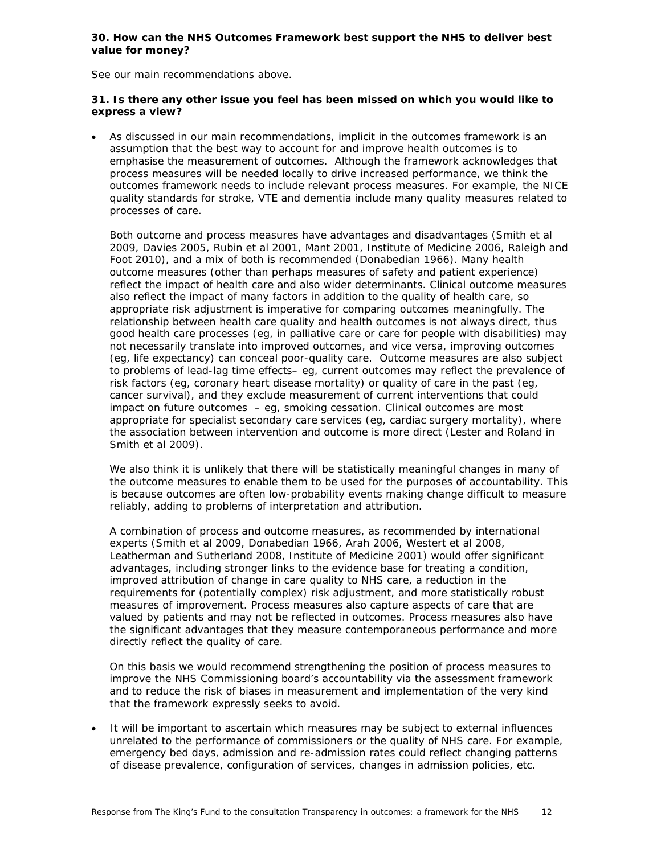# **30. How can the NHS Outcomes Framework best support the NHS to deliver best value for money?**

See our main recommendations above.

# **31. Is there any other issue you feel has been missed on which you would like to express a view?**

 As discussed in our main recommendations, implicit in the outcomes framework is an assumption that the best way to account for and improve health outcomes is to emphasise the measurement of outcomes. Although the framework acknowledges that process measures will be needed locally to drive increased performance, we think the outcomes framework needs to include relevant process measures. For example, the NICE quality standards for stroke, VTE and dementia include many quality measures related to processes of care.

Both outcome and process measures have advantages and disadvantages (Smith *et al* 2009, Davies 2005, Rubin *et a*l 2001, Mant 2001, Institute of Medicine 2006, Raleigh and Foot 2010), and a mix of both is recommended (Donabedian 1966). Many health outcome measures (other than perhaps measures of safety and patient experience) reflect the impact of health care and also wider determinants. Clinical outcome measures also reflect the impact of many factors in addition to the quality of health care, so appropriate risk adjustment is imperative for comparing outcomes meaningfully. The relationship between health care quality and health outcomes is not always direct, thus good health care processes (eg, in palliative care or care for people with disabilities) may not necessarily translate into improved outcomes, and vice versa, improving outcomes (eg, life expectancy) can conceal poor-quality care. Outcome measures are also subject to problems of lead-lag time effects– eg, current outcomes may reflect the prevalence of risk factors (eg, coronary heart disease mortality) or quality of care in the past (eg, cancer survival), and they exclude measurement of current interventions that could impact on future outcomes – eg, smoking cessation. Clinical outcomes are most appropriate for specialist secondary care services (eg, cardiac surgery mortality), where the association between intervention and outcome is more direct (Lester and Roland in Smith *et al* 2009).

We also think it is unlikely that there will be statistically meaningful changes in many of the outcome measures to enable them to be used for the purposes of accountability. This is because outcomes are often low-probability events making change difficult to measure reliably, adding to problems of interpretation and attribution.

A combination of process and outcome measures, as recommended by international experts (Smith *et al* 2009, Donabedian 1966, Arah 2006, Westert *et al* 2008, Leatherman and Sutherland 2008, Institute of Medicine 2001) would offer significant advantages, including stronger links to the evidence base for treating a condition, improved attribution of change in care quality to NHS care, a reduction in the requirements for (potentially complex) risk adjustment, and more statistically robust measures of improvement. Process measures also capture aspects of care that are valued by patients and may not be reflected in outcomes. Process measures also have the significant advantages that they measure contemporaneous performance and more directly reflect the quality of care.

On this basis we would recommend strengthening the position of process measures to improve the NHS Commissioning board's accountability via the assessment framework and to reduce the risk of biases in measurement and implementation of the very kind that the framework expressly seeks to avoid.

 It will be important to ascertain which measures may be subject to external influences unrelated to the performance of commissioners or the quality of NHS care. For example, emergency bed days, admission and re-admission rates could reflect changing patterns of disease prevalence, configuration of services, changes in admission policies, etc.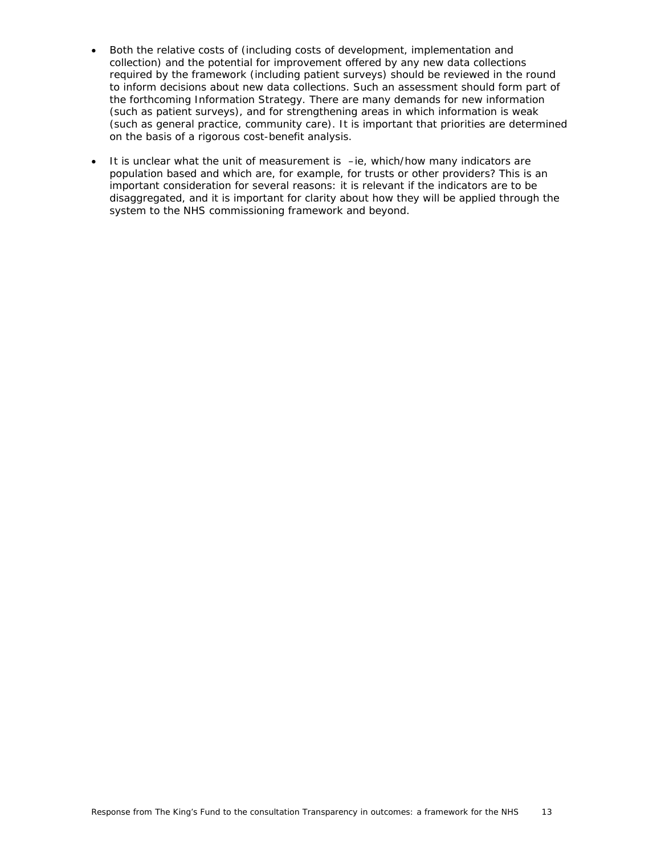- Both the relative costs of (including costs of development, implementation and collection) and the potential for improvement offered by any new data collections required by the framework (including patient surveys) should be reviewed in the round to inform decisions about new data collections. Such an assessment should form part of the forthcoming Information Strategy. There are many demands for new information (such as patient surveys), and for strengthening areas in which information is weak (such as general practice, community care). It is important that priorities are determined on the basis of a rigorous cost-benefit analysis.
- $\bullet$  It is unclear what the unit of measurement is  $-i$ e, which/how many indicators are population based and which are, for example, for trusts or other providers? This is an important consideration for several reasons: it is relevant if the indicators are to be disaggregated, and it is important for clarity about how they will be applied through the system to the NHS commissioning framework and beyond.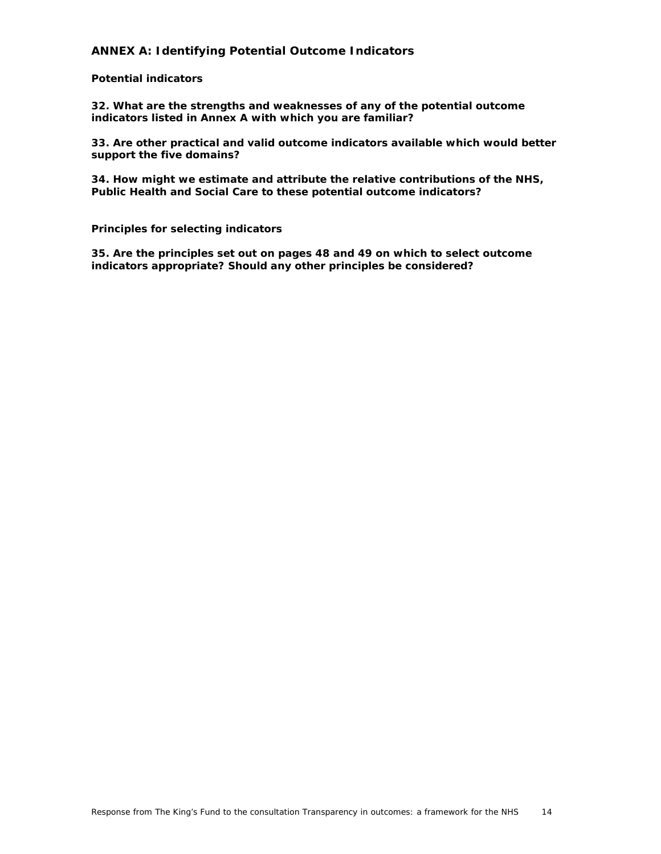# **ANNEX A: Identifying Potential Outcome Indicators**

### *Potential indicators*

**32. What are the strengths and weaknesses of any of the potential outcome indicators listed in Annex A with which you are familiar?** 

**33. Are other practical and valid outcome indicators available which would better support the five domains?** 

**34. How might we estimate and attribute the relative contributions of the NHS, Public Health and Social Care to these potential outcome indicators?** 

#### *Principles for selecting indicators*

**35. Are the principles set out on pages 48 and 49 on which to select outcome indicators appropriate? Should any other principles be considered?**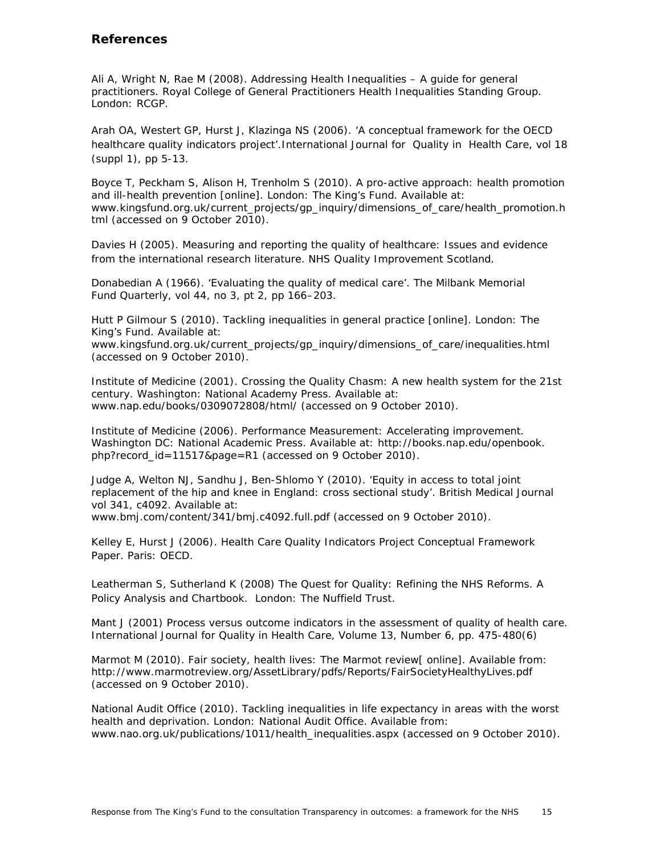# **References**

Ali A, Wright N, Rae M (2008). *Addressing Health Inequalities – A guide for general practitioners*. Royal College of General Practitioners Health Inequalities Standing Group. London: RCGP.

Arah OA, Westert GP, Hurst J, Klazinga NS (2006). 'A conceptual framework for the OECD healthcare quality indicators project'.*International Journal for Quality in Health Care*, vol 18 (suppl 1), pp 5-13.

Boyce T, Peckham S, Alison H, Trenholm S (2010). *A pro-active approach: health promotion and ill-health prevention* [online]*.* London: The King's Fund. Available at: www.kingsfund.org.uk/current\_projects/gp\_inquiry/dimensions\_of\_care/health\_promotion.h tml (accessed on 9 October 2010).

Davies H (2005). *Measuring and reporting the quality of healthcare: Issues and evidence from the international research literature.* NHS Quality Improvement Scotland.

Donabedian A (1966). 'Evaluating the quality of medical care'. *The Milbank Memorial Fund Quarterly*, vol 44, no 3, pt 2, pp 166–203.

Hutt P Gilmour S (2010). *Tackling inequalities in general practice* [online]*.* London: The King's Fund. Available at:

www.kingsfund.org.uk/current\_projects/gp\_inquiry/dimensions\_of\_care/inequalities.html (accessed on 9 October 2010).

Institute of Medicine (2001). *Crossing the Quality Chasm: A new health system for the 21st century*. Washington: National Academy Press. Available at: www.nap.edu/books/0309072808/html/ (accessed on 9 October 2010).

Institute of Medicine (2006). *Performance Measurement: Accelerating improvement*. Washington DC: National Academic Press. Available at: http://books.nap.edu/openbook. php?record\_id=11517&page=R1 (accessed on 9 October 2010).

Judge A, Welton NJ, Sandhu J, Ben-Shlomo Y (2010). 'Equity in access to total joint replacement of the hip and knee in England: cross sectional study'. *British Medical Journal* vol 341, c4092. Available at:

www.bmj.com/content/341/bmj.c4092.full.pdf (accessed on 9 October 2010).

Kelley E, Hurst J (2006). *Health Care Quality Indicators Project Conceptual Framework Paper.* Paris: OECD.

Leatherman S, Sutherland K (2008) *The Quest for Quality: Refining the NHS Reforms*. A Policy Analysis and Chartbook. London: The Nuffield Trust.

Mant J (2001) Process versus outcome indicators in the assessment of quality of health care. *International Journal for Quality in Health Care*, Volume 13, Number 6, pp. 475-480(6)

Marmot M (2010). *Fair society, health lives: The Marmot review*[ online]. Available from: http://www.marmotreview.org/AssetLibrary/pdfs/Reports/FairSocietyHealthyLives.pdf (accessed on 9 October 2010).

National Audit Office (2010). Tackling inequalities in life expectancy in areas with the worst health and deprivation. London: National Audit Office. Available from: www.nao.org.uk/publications/1011/health\_inequalities.aspx (accessed on 9 October 2010).